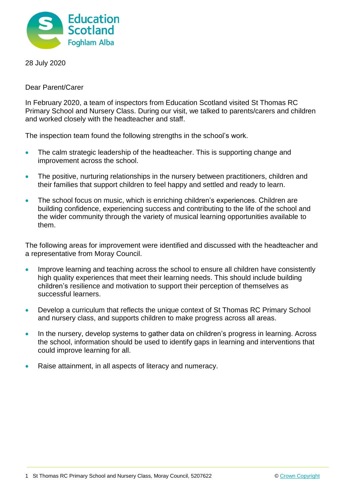

28 July 2020

Dear Parent/Carer

In February 2020, a team of inspectors from Education Scotland visited St Thomas RC Primary School and Nursery Class. During our visit, we talked to parents/carers and children and worked closely with the headteacher and staff.

The inspection team found the following strengths in the school's work.

- The calm strategic leadership of the headteacher. This is supporting change and improvement across the school.
- The positive, nurturing relationships in the nursery between practitioners, children and their families that support children to feel happy and settled and ready to learn.
- The school focus on music, which is enriching children's experiences. Children are building confidence, experiencing success and contributing to the life of the school and the wider community through the variety of musical learning opportunities available to them.

The following areas for improvement were identified and discussed with the headteacher and a representative from Moray Council.

- Improve learning and teaching across the school to ensure all children have consistently high quality experiences that meet their learning needs. This should include building children's resilience and motivation to support their perception of themselves as successful learners.
- Develop a curriculum that reflects the unique context of St Thomas RC Primary School and nursery class, and supports children to make progress across all areas.
- In the nursery, develop systems to gather data on children's progress in learning. Across the school, information should be used to identify gaps in learning and interventions that could improve learning for all.
- Raise attainment, in all aspects of literacy and numeracy.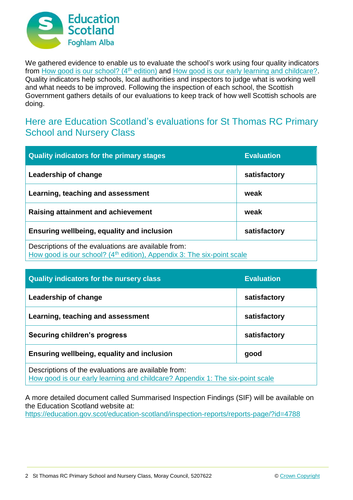

We gathered evidence to enable us to evaluate the school's work using four quality indicators from [How good is our school? \(4](https://education.gov.scot/improvement/Documents/Frameworks_SelfEvaluation/FRWK2_NIHeditHGIOS/FRWK2_HGIOS4.pdf)<sup>th</sup> edition) and [How good is our early learning and childcare?.](https://education.gov.scot/improvement/Documents/Frameworks_SelfEvaluation/FRWK1_NIHeditSelf-evaluationHGIELC/HGIOELC020316Revised.pdf) Quality indicators help schools, local authorities and inspectors to judge what is working well and what needs to be improved. Following the inspection of each school, the Scottish Government gathers details of our evaluations to keep track of how well Scottish schools are doing.

## Here are Education Scotland's evaluations for St Thomas RC Primary School and Nursery Class

| <b>Quality indicators for the primary stages</b>                                                                                          | <b>Evaluation</b> |
|-------------------------------------------------------------------------------------------------------------------------------------------|-------------------|
| Leadership of change                                                                                                                      | satisfactory      |
| Learning, teaching and assessment                                                                                                         | weak              |
| <b>Raising attainment and achievement</b>                                                                                                 | weak              |
| Ensuring wellbeing, equality and inclusion                                                                                                | satisfactory      |
| Descriptions of the evaluations are available from:<br>How good is our school? (4 <sup>th</sup> edition), Appendix 3: The six-point scale |                   |

| <b>Quality indicators for the nursery class</b>                                                                                      | <b>Evaluation</b> |
|--------------------------------------------------------------------------------------------------------------------------------------|-------------------|
| Leadership of change                                                                                                                 | satisfactory      |
| Learning, teaching and assessment                                                                                                    | satisfactory      |
| Securing children's progress                                                                                                         | satisfactory      |
| Ensuring wellbeing, equality and inclusion                                                                                           | good              |
| Descriptions of the evaluations are available from:<br>How good is our early learning and childcare? Appendix 1: The six-point scale |                   |

A more detailed document called Summarised Inspection Findings (SIF) will be available on the Education Scotland website at:

<https://education.gov.scot/education-scotland/inspection-reports/reports-page/?id=4788>